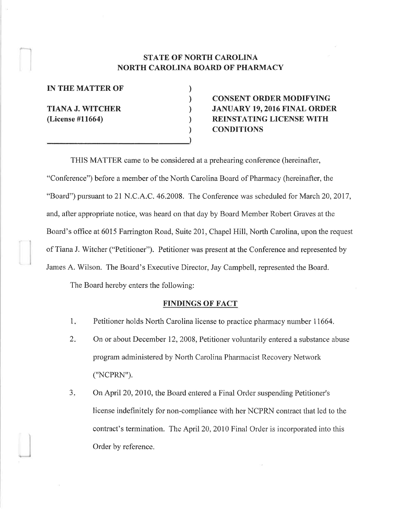## STATE OF NORTH CAROLINA NORTH CAROLINA BOARD OF PHARMACY

) ) ) ) ) )

IN THE MATTER OF

TIANA J. WITCHER (License #11664)

# CONSENT ORDER MODIFYING JANUARY 19,2016 FINAL ORDER REINSTATING LICENSE WITH **CONDITIONS**

THIS MATTER came to be considered at a prehearing conference (hereinafter, "Conference") before a member of the North Carolina Board of Pharmacy (hereinafter, the "Board") pursuant to 21 N.C.A.C. 46.2008. The Conference was scheduled for March 20, 2017, and, after appropriate notice, was heard on that day by Board Member Robert Graves at the Board's office at 6015 Farrington Road, Suite 201, Chapel Hill, North Carolina, upon the request of Tiana J. Witcher ("Petitioner"). Petitioner was present at the Conference and represented by James A. Wilson. The Board's Executive Director, Jay Campbell, represented the Board.

The Board hereby enters the following:

### FINDINGS OF FACT

- Petitioner holds North Carolina license to practice pharmacy number 11664. 1
- On or about December 12,2008, Petitioner voluntarily entered a substance abuse program administered by North Carolina Phannacist Recovery Network ("NCPRN").  $2.$
- On April 20, 2010, the Board entered a Final Order suspending Petitioner's license indefinitely for non-compliance with her NCPRN contract that lecl to the contract's termination. The April 20, 2010 Final Order is incorporated into this Order by reference.  $3.$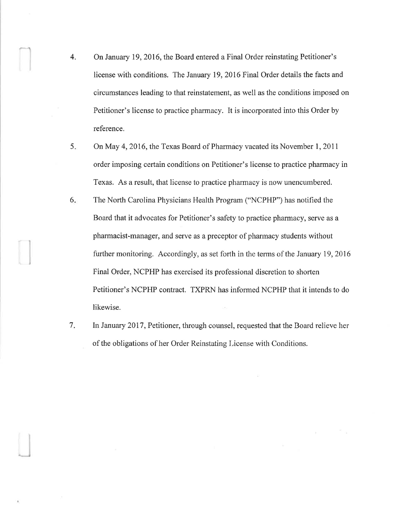- 4. On January 19,2016, the Board entered a Final Order reinstating Petitioner's license with conditions. The January 19,2016 Final Order details the facts and circumstances leading to that reinstatement, as well as the conditions imposed on Petitioner's license to practice pharmacy. It is incorporated into this Order by reference.
- On May 4, 2016, the Texas Board of Pharmacy vacated its November 1, 2011 order imposing certain conditions on Petitioner's license to practice pharmacy in Texas. As a result, that license to practice pharmacy is now unencumbered. 5.
- The North Carolina Physicians Health Program ("NCPHP") has notified the Board that it advocates for Petitioner's safety to practice pharmacy, serve as a pharmacist-manager, and serve as a preceptor of phannacy students without further monitoring. Accordingly, as set forth in the terms of the January 19, 2016 Final Order, NCPHP has exercised its professional discretion to shorten Petitioner's NCPHP contract. TXPRN has informed NCPHP that it intends to do likewise. 6
- In January 2017, Petitioner, through counsel, requested that the Board relieve her of the obligations of her Order Reinstating License with Conditions. 7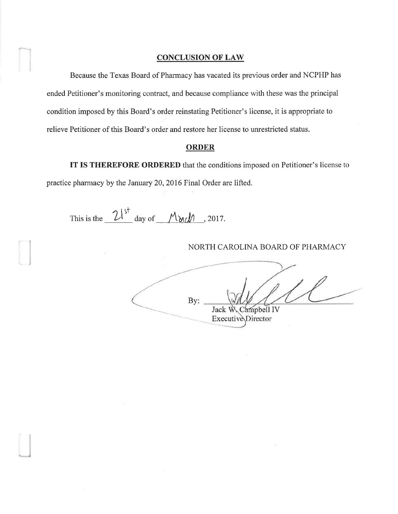#### **CONCLUSION OF LAW**

Because the Texas Board of Pharmacy has vacated its previous order and NCPHP has ended Petitioner's monitoring contract, and because compliance with these was the principal condition imposed by this Board's order reinstating Petitioner's license, it is appropriate to relieve Petitioner of this Board's order and restore her license to unrestricted status.

#### **ORDER**

IT IS THEREFORE ORDERED that the conditions imposed on Petitioner's license to practice pharmacy by the January 20,2016 Final Order are lifted.

This is the  $2l^{st}$  day of Morch , 2017.

NORTH CAROLINA BOARD OF PHARMACY

By: Jack W. Campbell IV Executive Director